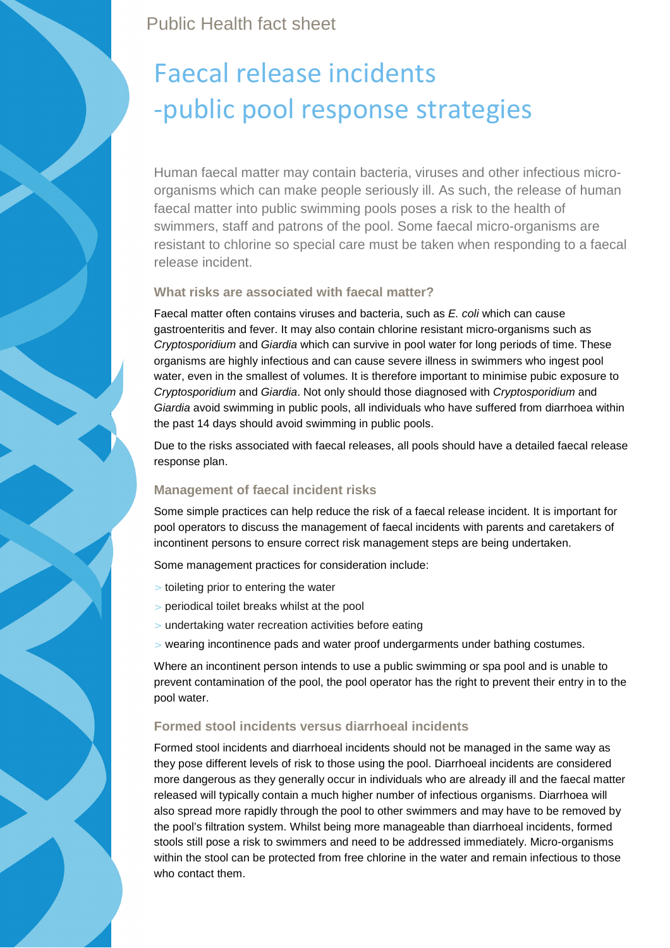Public Health fact sheet

# Faecal release incidents -public pool response strategies

Human faecal matter may contain bacteria, viruses and other infectious microorganisms which can make people seriously ill. As such, the release of human faecal matter into public swimming pools poses a risk to the health of swimmers, staff and patrons of the pool. Some faecal micro-organisms are resistant to chlorine so special care must be taken when responding to a faecal release incident.

## **What risks are associated with faecal matter?**

Faecal matter often contains viruses and bacteria, such as E. coli which can cause gastroenteritis and fever. It may also contain chlorine resistant micro-organisms such as Cryptosporidium and Giardia which can survive in pool water for long periods of time. These organisms are highly infectious and can cause severe illness in swimmers who ingest pool water, even in the smallest of volumes. It is therefore important to minimise pubic exposure to Cryptosporidium and Giardia. Not only should those diagnosed with Cryptosporidium and Giardia avoid swimming in public pools, all individuals who have suffered from diarrhoea within the past 14 days should avoid swimming in public pools.

Due to the risks associated with faecal releases, all pools should have a detailed faecal release response plan.

# **Management of faecal incident risks**

Some simple practices can help reduce the risk of a faecal release incident. It is important for pool operators to discuss the management of faecal incidents with parents and caretakers of incontinent persons to ensure correct risk management steps are being undertaken.

Some management practices for consideration include:

- > toileting prior to entering the water
- periodical toilet breaks whilst at the pool
- undertaking water recreation activities before eating
- wearing incontinence pads and water proof undergarments under bathing costumes.

Where an incontinent person intends to use a public swimming or spa pool and is unable to prevent contamination of the pool, the pool operator has the right to prevent their entry in to the pool water.

# **Formed stool incidents versus diarrhoeal incidents**

Formed stool incidents and diarrhoeal incidents should not be managed in the same way as they pose different levels of risk to those using the pool. Diarrhoeal incidents are considered more dangerous as they generally occur in individuals who are already ill and the faecal matter released will typically contain a much higher number of infectious organisms. Diarrhoea will also spread more rapidly through the pool to other swimmers and may have to be removed by the pool's filtration system. Whilst being more manageable than diarrhoeal incidents, formed stools still pose a risk to swimmers and need to be addressed immediately. Micro-organisms within the stool can be protected from free chlorine in the water and remain infectious to those who contact them.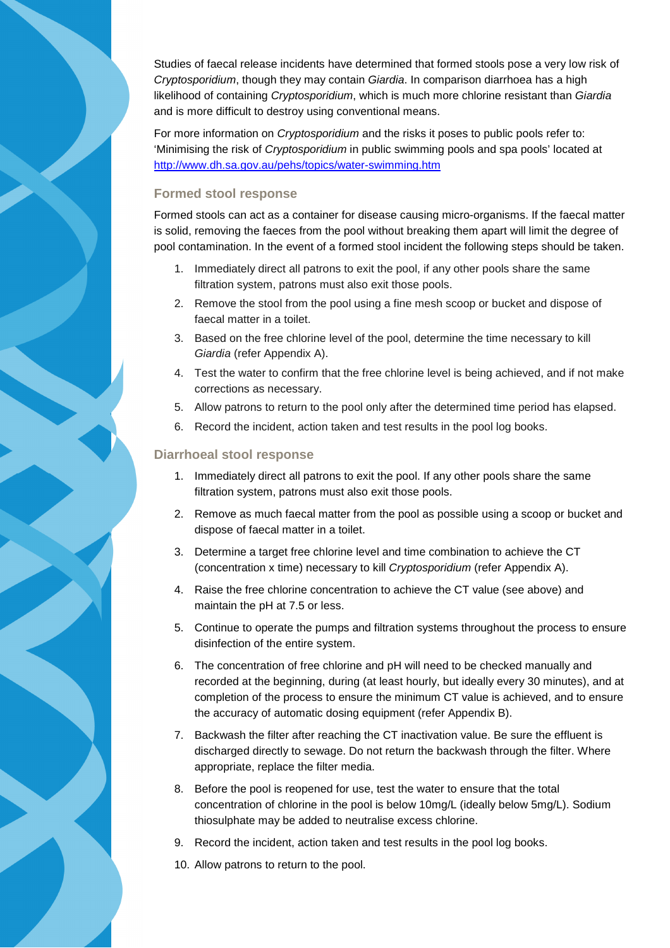Studies of faecal release incidents have determined that formed stools pose a very low risk of Cryptosporidium, though they may contain Giardia. In comparison diarrhoea has a high likelihood of containing Cryptosporidium, which is much more chlorine resistant than Giardia and is more difficult to destroy using conventional means.

For more information on *Cryptosporidium* and the risks it poses to public pools refer to: 'Minimising the risk of Cryptosporidium in public swimming pools and spa pools' located at http://www.dh.sa.gov.au/pehs/topics/water-swimming.htm

#### **Formed stool response**

Formed stools can act as a container for disease causing micro-organisms. If the faecal matter is solid, removing the faeces from the pool without breaking them apart will limit the degree of pool contamination. In the event of a formed stool incident the following steps should be taken.

- 1. Immediately direct all patrons to exit the pool, if any other pools share the same filtration system, patrons must also exit those pools.
- 2. Remove the stool from the pool using a fine mesh scoop or bucket and dispose of faecal matter in a toilet.
- 3. Based on the free chlorine level of the pool, determine the time necessary to kill Giardia (refer Appendix A).
- 4. Test the water to confirm that the free chlorine level is being achieved, and if not make corrections as necessary.
- 5. Allow patrons to return to the pool only after the determined time period has elapsed.
- 6. Record the incident, action taken and test results in the pool log books.

#### **Diarrhoeal stool response**

- 1. Immediately direct all patrons to exit the pool. If any other pools share the same filtration system, patrons must also exit those pools.
- 2. Remove as much faecal matter from the pool as possible using a scoop or bucket and dispose of faecal matter in a toilet.
- 3. Determine a target free chlorine level and time combination to achieve the CT (concentration x time) necessary to kill Cryptosporidium (refer Appendix A).
- 4. Raise the free chlorine concentration to achieve the CT value (see above) and maintain the pH at 7.5 or less.
- 5. Continue to operate the pumps and filtration systems throughout the process to ensure disinfection of the entire system.
- 6. The concentration of free chlorine and pH will need to be checked manually and recorded at the beginning, during (at least hourly, but ideally every 30 minutes), and at completion of the process to ensure the minimum CT value is achieved, and to ensure the accuracy of automatic dosing equipment (refer Appendix B).
- 7. Backwash the filter after reaching the CT inactivation value. Be sure the effluent is discharged directly to sewage. Do not return the backwash through the filter. Where appropriate, replace the filter media.
- 8. Before the pool is reopened for use, test the water to ensure that the total concentration of chlorine in the pool is below 10mg/L (ideally below 5mg/L). Sodium thiosulphate may be added to neutralise excess chlorine.
- 9. Record the incident, action taken and test results in the pool log books.
- 10. Allow patrons to return to the pool.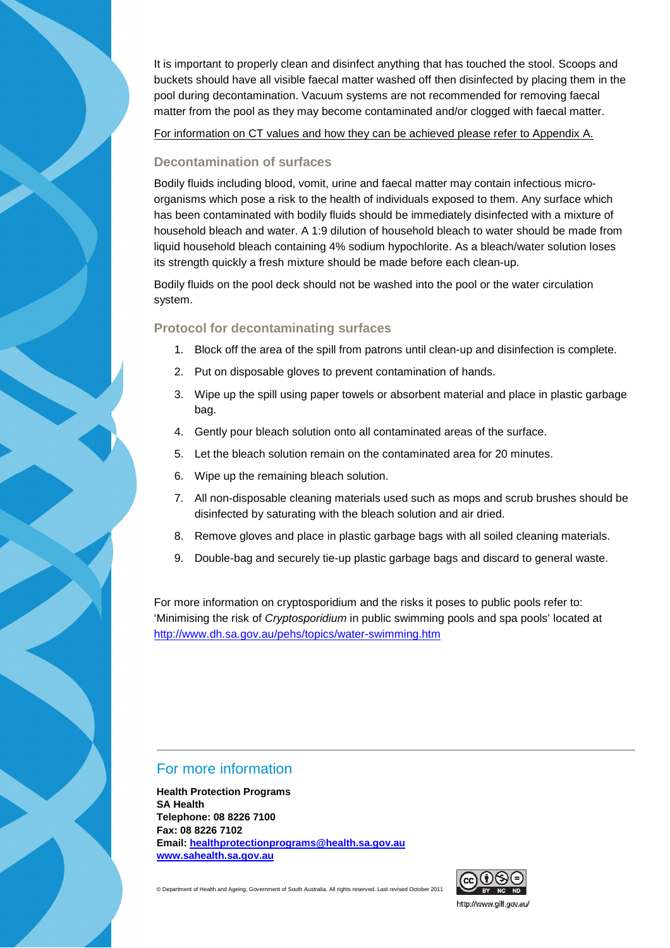It is important to properly clean and disinfect anything that has touched the stool. Scoops and buckets should have all visible faecal matter washed off then disinfected by placing them in the pool during decontamination. Vacuum systems are not recommended for removing faecal matter from the pool as they may become contaminated and/or clogged with faecal matter.

For information on CT values and how they can be achieved please refer to Appendix A.

#### **Decontamination of surfaces**

Bodily fluids including blood, vomit, urine and faecal matter may contain infectious microorganisms which pose a risk to the health of individuals exposed to them. Any surface which has been contaminated with bodily fluids should be immediately disinfected with a mixture of household bleach and water. A 1:9 dilution of household bleach to water should be made from liquid household bleach containing 4% sodium hypochlorite. As a bleach/water solution loses its strength quickly a fresh mixture should be made before each clean-up.

Bodily fluids on the pool deck should not be washed into the pool or the water circulation system.

#### **Protocol for decontaminating surfaces**

- 1. Block off the area of the spill from patrons until clean-up and disinfection is complete.
- 2. Put on disposable gloves to prevent contamination of hands.
- 3. Wipe up the spill using paper towels or absorbent material and place in plastic garbage bag.
- 4. Gently pour bleach solution onto all contaminated areas of the surface.
- 5. Let the bleach solution remain on the contaminated area for 20 minutes.
- 6. Wipe up the remaining bleach solution.
- 7. All non-disposable cleaning materials used such as mops and scrub brushes should be disinfected by saturating with the bleach solution and air dried.
- 8. Remove gloves and place in plastic garbage bags with all soiled cleaning materials.
- 9. Double-bag and securely tie-up plastic garbage bags and discard to general waste.

For more information on cryptosporidium and the risks it poses to public pools refer to: 'Minimising the risk of Cryptosporidium in public swimming pools and spa pools' located at http://www.dh.sa.gov.au/pehs/topics/water-swimming.htm

## For more information

**Health Protection Programs SA Health Telephone: 08 8226 7100 Fax: 08 8226 7102 Email: healthprotectionprograms@health.sa.gov.au www.sahealth.sa.gov.au**

© Department of Health and Ageing, Government of South Australia. All rights reserved. Last revised October 2011



http://www.ailf.aov.au/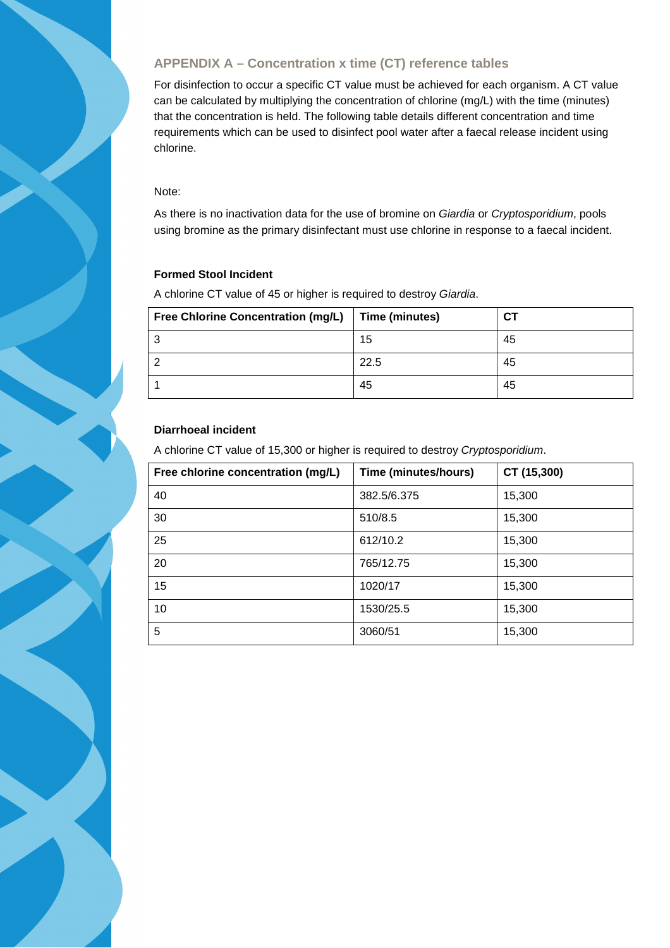# **APPENDIX A – Concentration x time (CT) reference tables**

For disinfection to occur a specific CT value must be achieved for each organism. A CT value can be calculated by multiplying the concentration of chlorine (mg/L) with the time (minutes) that the concentration is held. The following table details different concentration and time requirements which can be used to disinfect pool water after a faecal release incident using chlorine.

#### Note:

As there is no inactivation data for the use of bromine on Giardia or Cryptosporidium, pools using bromine as the primary disinfectant must use chlorine in response to a faecal incident.

# **Formed Stool Incident**

A chlorine CT value of 45 or higher is required to destroy Giardia.

| <b>Free Chlorine Concentration (mg/L)</b> | Time (minutes) | СT |
|-------------------------------------------|----------------|----|
|                                           | 15             | 45 |
|                                           | 22.5           | 45 |
|                                           | 45             | 45 |

# **Diarrhoeal incident**

A chlorine CT value of 15,300 or higher is required to destroy Cryptosporidium.

| Free chlorine concentration (mg/L) | Time (minutes/hours) | CT (15,300) |
|------------------------------------|----------------------|-------------|
| 40                                 | 382.5/6.375          | 15,300      |
| 30                                 | 510/8.5              | 15,300      |
| 25                                 | 612/10.2             | 15,300      |
| 20                                 | 765/12.75            | 15,300      |
| 15                                 | 1020/17              | 15,300      |
| 10                                 | 1530/25.5            | 15,300      |
| 5                                  | 3060/51              | 15,300      |